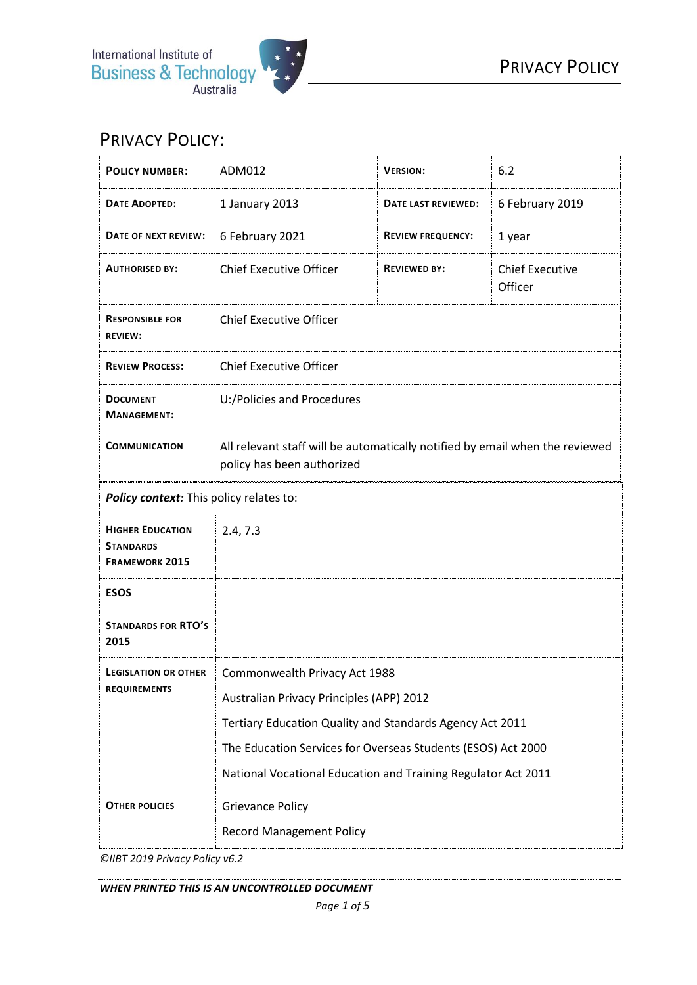

## PRIVACY POLICY:

| <b>POLICY NUMBER:</b>                                                | ADM012                                                                                                     | <b>VERSION:</b>          | 6.2                               |
|----------------------------------------------------------------------|------------------------------------------------------------------------------------------------------------|--------------------------|-----------------------------------|
| DATE ADOPTED:                                                        | 1 January 2013                                                                                             | DATE LAST REVIEWED:      | 6 February 2019                   |
| DATE OF NEXT REVIEW:                                                 | 6 February 2021                                                                                            | <b>REVIEW FREQUENCY:</b> | 1 year                            |
| <b>AUTHORISED BY:</b>                                                | <b>Chief Executive Officer</b>                                                                             | <b>REVIEWED BY:</b>      | <b>Chief Executive</b><br>Officer |
| <b>RESPONSIBLE FOR</b><br><b>REVIEW:</b>                             | <b>Chief Executive Officer</b>                                                                             |                          |                                   |
| <b>REVIEW PROCESS:</b>                                               | <b>Chief Executive Officer</b>                                                                             |                          |                                   |
| <b>DOCUMENT</b><br><b>MANAGEMENT:</b>                                | U:/Policies and Procedures                                                                                 |                          |                                   |
| <b>COMMUNICATION</b>                                                 | All relevant staff will be automatically notified by email when the reviewed<br>policy has been authorized |                          |                                   |
| Policy context: This policy relates to:                              |                                                                                                            |                          |                                   |
| <b>HIGHER EDUCATION</b><br><b>STANDARDS</b><br><b>FRAMEWORK 2015</b> | 2.4, 7.3                                                                                                   |                          |                                   |
| <b>ESOS</b>                                                          |                                                                                                            |                          |                                   |
| <b>STANDARDS FOR RTO'S</b><br>2015                                   |                                                                                                            |                          |                                   |
| <b>LEGISLATION OR OTHER</b><br><b>REQUIREMENTS</b>                   | Commonwealth Privacy Act 1988                                                                              |                          |                                   |
|                                                                      | Australian Privacy Principles (APP) 2012                                                                   |                          |                                   |
|                                                                      | Tertiary Education Quality and Standards Agency Act 2011                                                   |                          |                                   |
|                                                                      | The Education Services for Overseas Students (ESOS) Act 2000                                               |                          |                                   |
|                                                                      | National Vocational Education and Training Regulator Act 2011                                              |                          |                                   |
| <b>OTHER POLICIES</b>                                                | <b>Grievance Policy</b>                                                                                    |                          |                                   |
|                                                                      | <b>Record Management Policy</b>                                                                            |                          |                                   |

*©IIBT 2019 Privacy Policy v6.2*

*WHEN PRINTED THIS IS AN UNCONTROLLED DOCUMENT*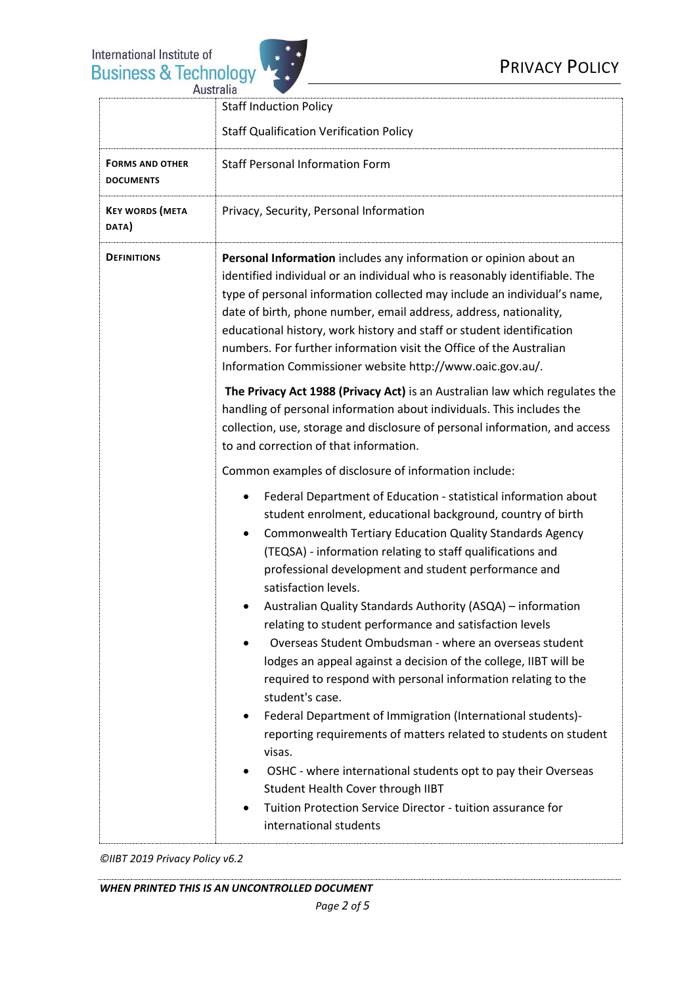

|                                            | <b>Staff Induction Policy</b>                                                                                                                                                                                                                                                                                                                                                                                                                                                                                 |  |
|--------------------------------------------|---------------------------------------------------------------------------------------------------------------------------------------------------------------------------------------------------------------------------------------------------------------------------------------------------------------------------------------------------------------------------------------------------------------------------------------------------------------------------------------------------------------|--|
|                                            | <b>Staff Qualification Verification Policy</b>                                                                                                                                                                                                                                                                                                                                                                                                                                                                |  |
| <b>FORMS AND OTHER</b><br><b>DOCUMENTS</b> | <b>Staff Personal Information Form</b>                                                                                                                                                                                                                                                                                                                                                                                                                                                                        |  |
| <b>KEY WORDS (META</b><br>DATA)            | Privacy, Security, Personal Information                                                                                                                                                                                                                                                                                                                                                                                                                                                                       |  |
| <b>DEFINITIONS</b>                         | Personal Information includes any information or opinion about an<br>identified individual or an individual who is reasonably identifiable. The<br>type of personal information collected may include an individual's name,<br>date of birth, phone number, email address, address, nationality,<br>educational history, work history and staff or student identification<br>numbers. For further information visit the Office of the Australian<br>Information Commissioner website http://www.oaic.gov.au/. |  |
|                                            | The Privacy Act 1988 (Privacy Act) is an Australian law which regulates the<br>handling of personal information about individuals. This includes the<br>collection, use, storage and disclosure of personal information, and access<br>to and correction of that information.                                                                                                                                                                                                                                 |  |
|                                            | Common examples of disclosure of information include:                                                                                                                                                                                                                                                                                                                                                                                                                                                         |  |
|                                            | Federal Department of Education - statistical information about<br>student enrolment, educational background, country of birth<br><b>Commonwealth Tertiary Education Quality Standards Agency</b><br>(TEQSA) - information relating to staff qualifications and<br>professional development and student performance and<br>satisfaction levels.                                                                                                                                                               |  |
|                                            | Australian Quality Standards Authority (ASQA) - information<br>relating to student performance and satisfaction levels<br>Overseas Student Ombudsman - where an overseas student<br>lodges an appeal against a decision of the college, IIBT will be<br>required to respond with personal information relating to the<br>student's case.                                                                                                                                                                      |  |
|                                            | Federal Department of Immigration (International students)-<br>٠<br>reporting requirements of matters related to students on student<br>visas.<br>OSHC - where international students opt to pay their Overseas<br>Student Health Cover through IIBT<br>Tuition Protection Service Director - tuition assurance for<br>international students                                                                                                                                                                 |  |

*©IIBT 2019 Privacy Policy v6.2*

*WHEN PRINTED THIS IS AN UNCONTROLLED DOCUMENT*

*Page 2 of 5*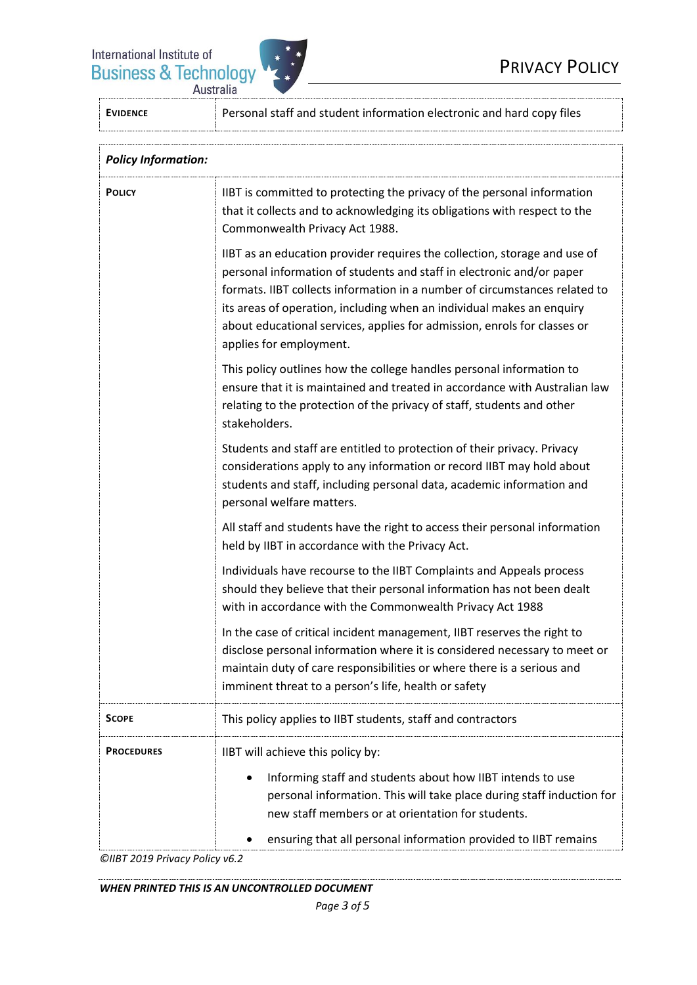

| <b>EVIDENCE</b>            | Personal staff and student information electronic and hard copy files                                                                                                                                                                                                                                                                                                                                            |  |  |  |
|----------------------------|------------------------------------------------------------------------------------------------------------------------------------------------------------------------------------------------------------------------------------------------------------------------------------------------------------------------------------------------------------------------------------------------------------------|--|--|--|
| <b>Policy Information:</b> |                                                                                                                                                                                                                                                                                                                                                                                                                  |  |  |  |
| <b>POLICY</b>              | IIBT is committed to protecting the privacy of the personal information<br>that it collects and to acknowledging its obligations with respect to the<br>Commonwealth Privacy Act 1988.                                                                                                                                                                                                                           |  |  |  |
|                            | IIBT as an education provider requires the collection, storage and use of<br>personal information of students and staff in electronic and/or paper<br>formats. IIBT collects information in a number of circumstances related to<br>its areas of operation, including when an individual makes an enquiry<br>about educational services, applies for admission, enrols for classes or<br>applies for employment. |  |  |  |
|                            | This policy outlines how the college handles personal information to<br>ensure that it is maintained and treated in accordance with Australian law<br>relating to the protection of the privacy of staff, students and other<br>stakeholders.                                                                                                                                                                    |  |  |  |
|                            | Students and staff are entitled to protection of their privacy. Privacy<br>considerations apply to any information or record IIBT may hold about<br>students and staff, including personal data, academic information and<br>personal welfare matters.                                                                                                                                                           |  |  |  |
|                            | All staff and students have the right to access their personal information<br>held by IIBT in accordance with the Privacy Act.                                                                                                                                                                                                                                                                                   |  |  |  |
|                            | Individuals have recourse to the IIBT Complaints and Appeals process<br>should they believe that their personal information has not been dealt<br>with in accordance with the Commonwealth Privacy Act 1988                                                                                                                                                                                                      |  |  |  |
|                            | In the case of critical incident management, IIBT reserves the right to<br>disclose personal information where it is considered necessary to meet or<br>maintain duty of care responsibilities or where there is a serious and<br>imminent threat to a person's life, health or safety                                                                                                                           |  |  |  |
| <b>SCOPE</b>               | This policy applies to IIBT students, staff and contractors                                                                                                                                                                                                                                                                                                                                                      |  |  |  |
| <b>PROCEDURES</b>          | IIBT will achieve this policy by:<br>Informing staff and students about how IIBT intends to use<br>personal information. This will take place during staff induction for<br>new staff members or at orientation for students.<br>ensuring that all personal information provided to IIBT remains                                                                                                                 |  |  |  |

*©IIBT 2019 Privacy Policy v6.2*

*WHEN PRINTED THIS IS AN UNCONTROLLED DOCUMENT*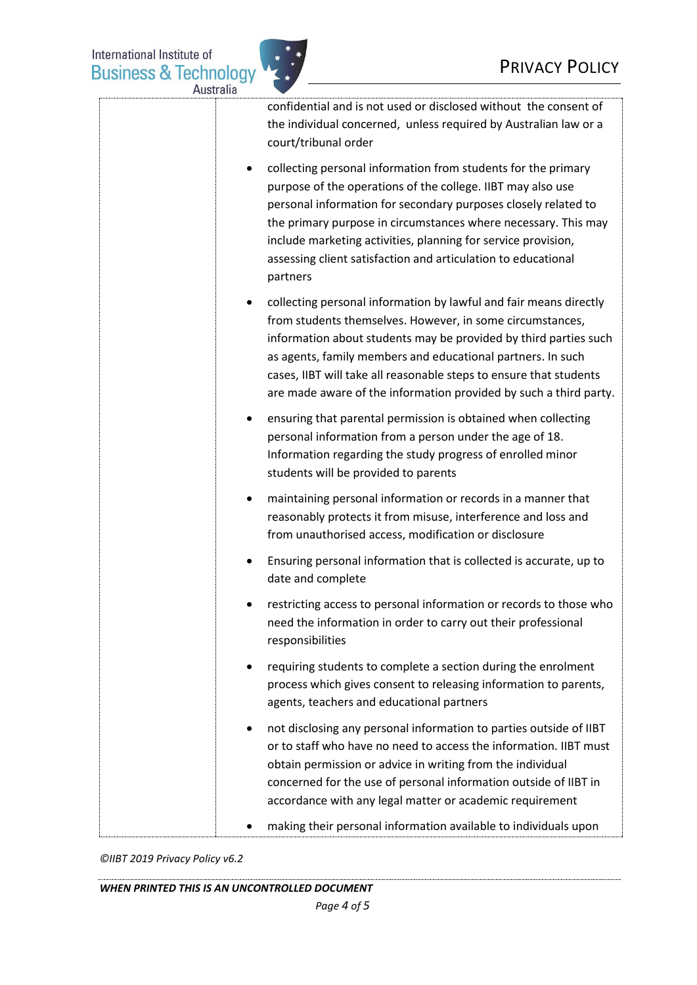

| Australia |                                                                                                                                                                                                                                                                                                                                                                                                                             |
|-----------|-----------------------------------------------------------------------------------------------------------------------------------------------------------------------------------------------------------------------------------------------------------------------------------------------------------------------------------------------------------------------------------------------------------------------------|
|           | confidential and is not used or disclosed without the consent of<br>the individual concerned, unless required by Australian law or a<br>court/tribunal order                                                                                                                                                                                                                                                                |
|           | collecting personal information from students for the primary<br>$\bullet$<br>purpose of the operations of the college. IIBT may also use<br>personal information for secondary purposes closely related to<br>the primary purpose in circumstances where necessary. This may<br>include marketing activities, planning for service provision,<br>assessing client satisfaction and articulation to educational<br>partners |
|           | collecting personal information by lawful and fair means directly<br>from students themselves. However, in some circumstances,<br>information about students may be provided by third parties such<br>as agents, family members and educational partners. In such<br>cases, IIBT will take all reasonable steps to ensure that students<br>are made aware of the information provided by such a third party.                |
|           | ensuring that parental permission is obtained when collecting<br>٠<br>personal information from a person under the age of 18.<br>Information regarding the study progress of enrolled minor<br>students will be provided to parents                                                                                                                                                                                         |
|           | maintaining personal information or records in a manner that<br>٠<br>reasonably protects it from misuse, interference and loss and<br>from unauthorised access, modification or disclosure                                                                                                                                                                                                                                  |
|           | Ensuring personal information that is collected is accurate, up to<br>date and complete                                                                                                                                                                                                                                                                                                                                     |
|           | restricting access to personal information or records to those who<br>need the information in order to carry out their professional<br>responsibilities                                                                                                                                                                                                                                                                     |
|           | requiring students to complete a section during the enrolment<br>$\bullet$<br>process which gives consent to releasing information to parents,<br>agents, teachers and educational partners                                                                                                                                                                                                                                 |
|           | not disclosing any personal information to parties outside of IIBT<br>٠<br>or to staff who have no need to access the information. IIBT must<br>obtain permission or advice in writing from the individual<br>concerned for the use of personal information outside of IIBT in<br>accordance with any legal matter or academic requirement                                                                                  |
|           | making their personal information available to individuals upon                                                                                                                                                                                                                                                                                                                                                             |

*©IIBT 2019 Privacy Policy v6.2*

*WHEN PRINTED THIS IS AN UNCONTROLLED DOCUMENT*